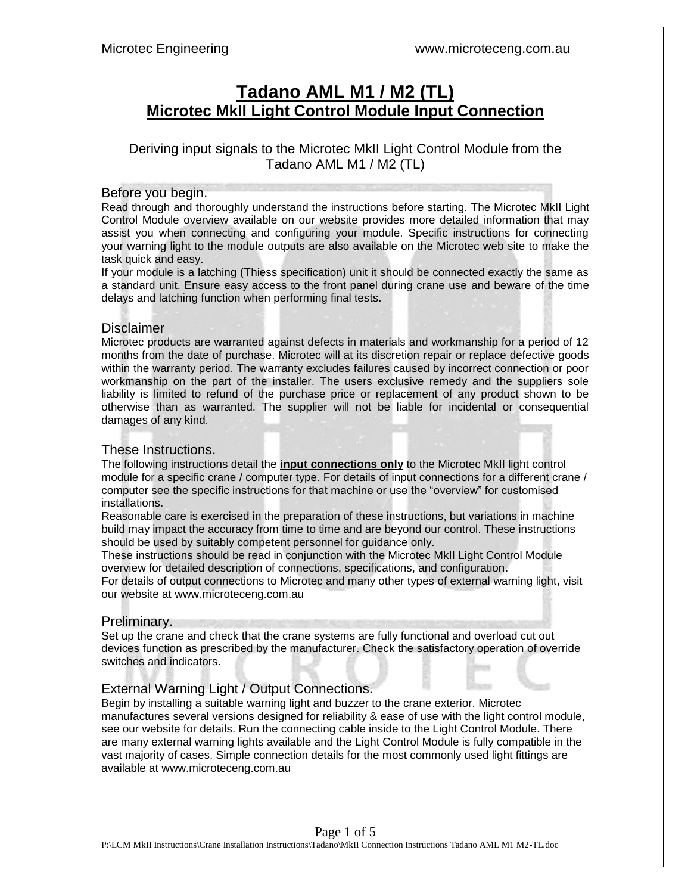# **Tadano AML M1 / M2 (TL) Microtec MkII Light Control Module Input Connection**

Deriving input signals to the Microtec MkII Light Control Module from the Tadano AML M1 / M2 (TL)

### Before you begin.

Read through and thoroughly understand the instructions before starting. The Microtec MkII Light Control Module overview available on our website provides more detailed information that may assist you when connecting and configuring your module. Specific instructions for connecting your warning light to the module outputs are also available on the Microtec web site to make the task quick and easy.

If your module is a latching (Thiess specification) unit it should be connected exactly the same as a standard unit. Ensure easy access to the front panel during crane use and beware of the time delays and latching function when performing final tests.

### **Disclaimer**

Microtec products are warranted against defects in materials and workmanship for a period of 12 months from the date of purchase. Microtec will at its discretion repair or replace defective goods within the warranty period. The warranty excludes failures caused by incorrect connection or poor workmanship on the part of the installer. The users exclusive remedy and the suppliers sole liability is limited to refund of the purchase price or replacement of any product shown to be otherwise than as warranted. The supplier will not be liable for incidental or consequential damages of any kind.

### These Instructions.

The following instructions detail the **input connections only** to the Microtec MkII light control module for a specific crane / computer type. For details of input connections for a different crane / computer see the specific instructions for that machine or use the "overview" for customised installations.

Reasonable care is exercised in the preparation of these instructions, but variations in machine build may impact the accuracy from time to time and are beyond our control. These instructions should be used by suitably competent personnel for guidance only.

These instructions should be read in conjunction with the Microtec MkII Light Control Module overview for detailed description of connections, specifications, and configuration.

For details of output connections to Microtec and many other types of external warning light, visit our website at www.microteceng.com.au

# Preliminary.

Set up the crane and check that the crane systems are fully functional and overload cut out devices function as prescribed by the manufacturer. Check the satisfactory operation of override switches and indicators.

# External Warning Light / Output Connections.

Begin by installing a suitable warning light and buzzer to the crane exterior. Microtec manufactures several versions designed for reliability & ease of use with the light control module, see our website for details. Run the connecting cable inside to the Light Control Module. There are many external warning lights available and the Light Control Module is fully compatible in the vast majority of cases. Simple connection details for the most commonly used light fittings are available at www.microteceng.com.au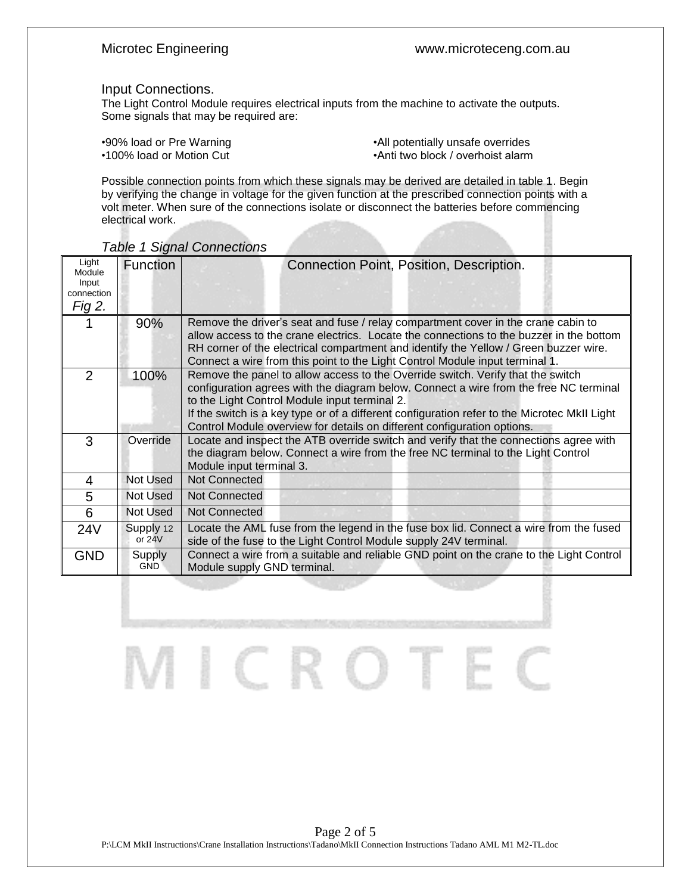### Input Connections.

The Light Control Module requires electrical inputs from the machine to activate the outputs. Some signals that may be required are:

•90% load or Pre Warning example and the settlement of the vertice overrides •All potentially unsafe overrides<br>•Anti two block / overhoist alarm •Anti two block / overhoist alarm

Possible connection points from which these signals may be derived are detailed in table 1. Begin by verifying the change in voltage for the given function at the prescribed connection points with a volt meter. When sure of the connections isolate or disconnect the batteries before commencing electrical work.

| Light<br>Module<br>Input<br>connection<br>Fig 2. | <b>Function</b>       | Connection Point, Position, Description.                                                                                                                                                                                                                                                                                                                                                             |  |
|--------------------------------------------------|-----------------------|------------------------------------------------------------------------------------------------------------------------------------------------------------------------------------------------------------------------------------------------------------------------------------------------------------------------------------------------------------------------------------------------------|--|
|                                                  | 90%                   | Remove the driver's seat and fuse / relay compartment cover in the crane cabin to<br>allow access to the crane electrics. Locate the connections to the buzzer in the bottom<br>RH corner of the electrical compartment and identify the Yellow / Green buzzer wire.<br>Connect a wire from this point to the Light Control Module input terminal 1.                                                 |  |
| 2                                                | 100%                  | Remove the panel to allow access to the Override switch. Verify that the switch<br>configuration agrees with the diagram below. Connect a wire from the free NC terminal<br>to the Light Control Module input terminal 2.<br>If the switch is a key type or of a different configuration refer to the Microtec MkII Light<br>Control Module overview for details on different configuration options. |  |
| 3                                                | Override              | Locate and inspect the ATB override switch and verify that the connections agree with<br>the diagram below. Connect a wire from the free NC terminal to the Light Control<br>Module input terminal 3.                                                                                                                                                                                                |  |
| $\overline{4}$                                   | Not Used              | Not Connected                                                                                                                                                                                                                                                                                                                                                                                        |  |
| 5                                                | Not Used              | Not Connected                                                                                                                                                                                                                                                                                                                                                                                        |  |
| 6                                                | Not Used              | <b>Not Connected</b>                                                                                                                                                                                                                                                                                                                                                                                 |  |
| 24 <sub>V</sub>                                  | Supply 12<br>or $24V$ | Locate the AML fuse from the legend in the fuse box lid. Connect a wire from the fused<br>side of the fuse to the Light Control Module supply 24V terminal.                                                                                                                                                                                                                                          |  |
| <b>GND</b>                                       | Supply<br><b>GND</b>  | Connect a wire from a suitable and reliable GND point on the crane to the Light Control<br>Module supply GND terminal.                                                                                                                                                                                                                                                                               |  |

*Table 1 Signal Connections*

Page 2 of 5 P:\LCM MkII Instructions\Crane Installation Instructions\Tadano\MkII Connection Instructions Tadano AML M1 M2-TL.doc

SICRO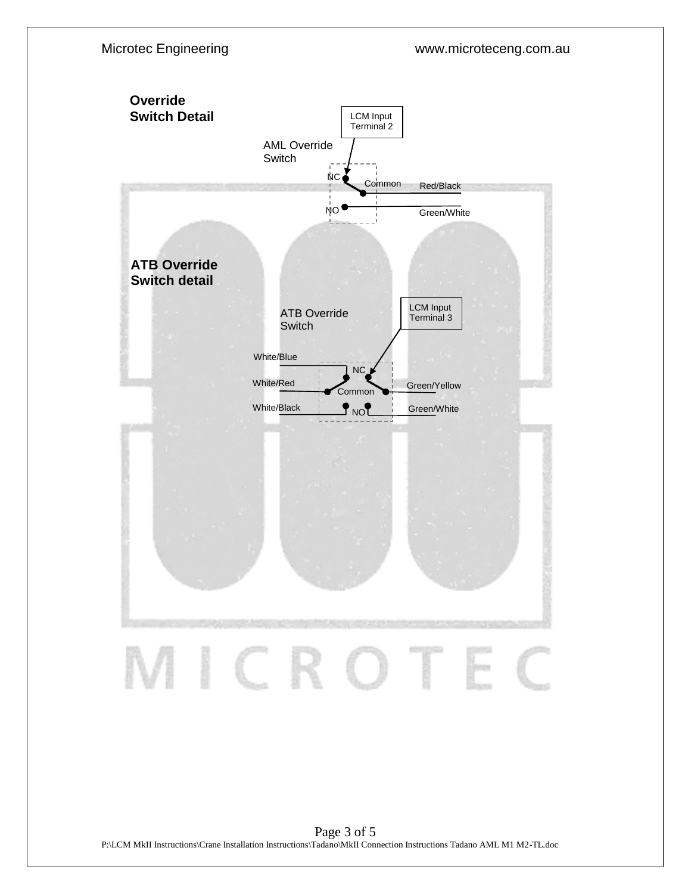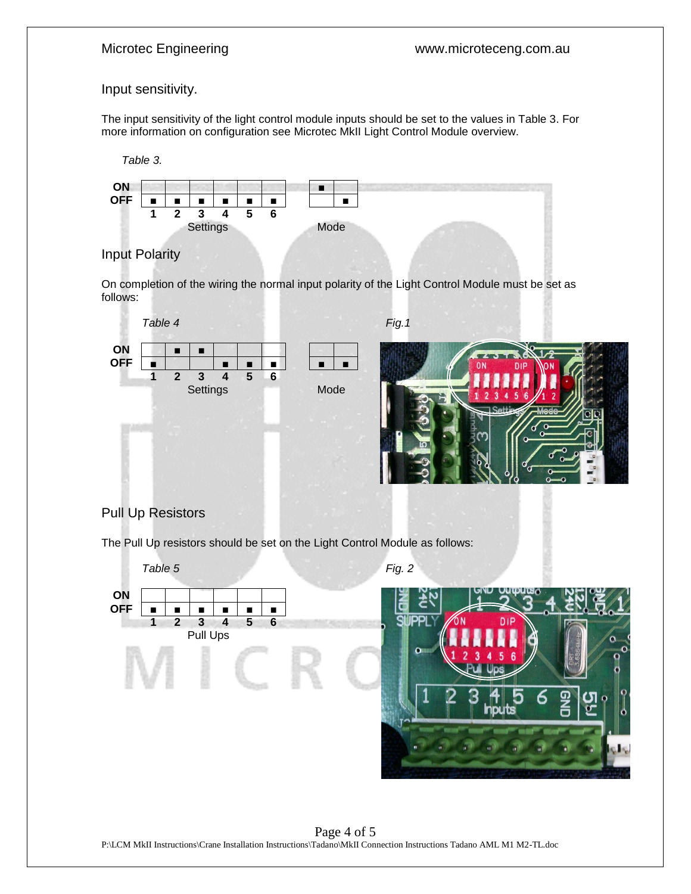# Input sensitivity.

The input sensitivity of the light control module inputs should be set to the values in Table 3. For more information on configuration see Microtec MkII Light Control Module overview.





# Input Polarity

On completion of the wiring the normal input polarity of the Light Control Module must be set as follows:



# Pull Up Resistors

The Pull Up resistors should be set on the Light Control Module as follows: